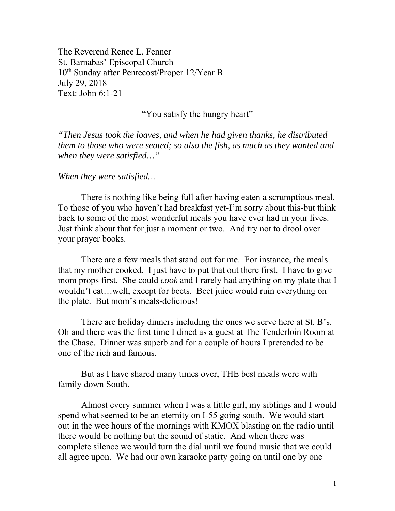The Reverend Renee L. Fenner St. Barnabas' Episcopal Church 10th Sunday after Pentecost/Proper 12/Year B July 29, 2018 Text: John 6:1-21

"You satisfy the hungry heart"

*"Then Jesus took the loaves, and when he had given thanks, he distributed them to those who were seated; so also the fish, as much as they wanted and when they were satisfied…"* 

## *When they were satisfied…*

 There is nothing like being full after having eaten a scrumptious meal. To those of you who haven't had breakfast yet-I'm sorry about this-but think back to some of the most wonderful meals you have ever had in your lives. Just think about that for just a moment or two. And try not to drool over your prayer books.

 There are a few meals that stand out for me. For instance, the meals that my mother cooked. I just have to put that out there first. I have to give mom props first. She could *cook* and I rarely had anything on my plate that I wouldn't eat…well, except for beets. Beet juice would ruin everything on the plate. But mom's meals-delicious!

 There are holiday dinners including the ones we serve here at St. B's. Oh and there was the first time I dined as a guest at The Tenderloin Room at the Chase. Dinner was superb and for a couple of hours I pretended to be one of the rich and famous.

 But as I have shared many times over, THE best meals were with family down South.

 Almost every summer when I was a little girl, my siblings and I would spend what seemed to be an eternity on I-55 going south. We would start out in the wee hours of the mornings with KMOX blasting on the radio until there would be nothing but the sound of static. And when there was complete silence we would turn the dial until we found music that we could all agree upon. We had our own karaoke party going on until one by one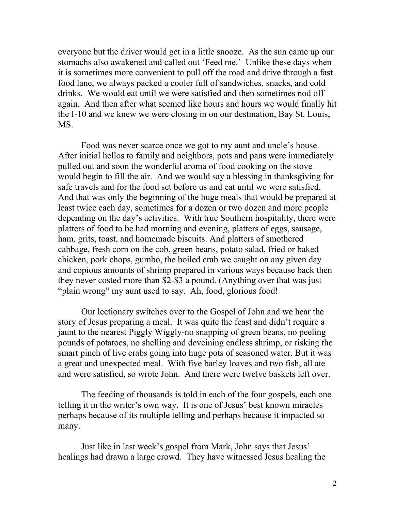everyone but the driver would get in a little snooze. As the sun came up our stomachs also awakened and called out 'Feed me.' Unlike these days when it is sometimes more convenient to pull off the road and drive through a fast food lane, we always packed a cooler full of sandwiches, snacks, and cold drinks. We would eat until we were satisfied and then sometimes nod off again. And then after what seemed like hours and hours we would finally hit the I-10 and we knew we were closing in on our destination, Bay St. Louis, MS.

 Food was never scarce once we got to my aunt and uncle's house. After initial hellos to family and neighbors, pots and pans were immediately pulled out and soon the wonderful aroma of food cooking on the stove would begin to fill the air. And we would say a blessing in thanksgiving for safe travels and for the food set before us and eat until we were satisfied. And that was only the beginning of the huge meals that would be prepared at least twice each day, sometimes for a dozen or two dozen and more people depending on the day's activities. With true Southern hospitality, there were platters of food to be had morning and evening, platters of eggs, sausage, ham, grits, toast, and homemade biscuits. And platters of smothered cabbage, fresh corn on the cob, green beans, potato salad, fried or baked chicken, pork chops, gumbo, the boiled crab we caught on any given day and copious amounts of shrimp prepared in various ways because back then they never costed more than \$2-\$3 a pound. (Anything over that was just "plain wrong" my aunt used to say. Ah, food, glorious food!

 Our lectionary switches over to the Gospel of John and we hear the story of Jesus preparing a meal. It was quite the feast and didn't require a jaunt to the nearest Piggly Wiggly-no snapping of green beans, no peeling pounds of potatoes, no shelling and deveining endless shrimp, or risking the smart pinch of live crabs going into huge pots of seasoned water. But it was a great and unexpected meal. With five barley loaves and two fish, all ate and were satisfied, so wrote John. And there were twelve baskets left over.

 The feeding of thousands is told in each of the four gospels, each one telling it in the writer's own way. It is one of Jesus' best known miracles perhaps because of its multiple telling and perhaps because it impacted so many.

 Just like in last week's gospel from Mark, John says that Jesus' healings had drawn a large crowd. They have witnessed Jesus healing the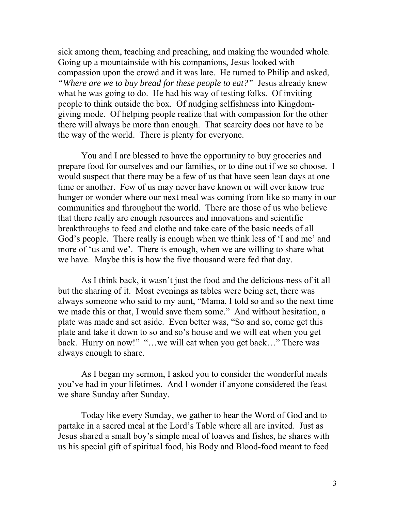sick among them, teaching and preaching, and making the wounded whole. Going up a mountainside with his companions, Jesus looked with compassion upon the crowd and it was late. He turned to Philip and asked, *"Where are we to buy bread for these people to eat?"* Jesus already knew what he was going to do. He had his way of testing folks. Of inviting people to think outside the box. Of nudging selfishness into Kingdomgiving mode. Of helping people realize that with compassion for the other there will always be more than enough. That scarcity does not have to be the way of the world. There is plenty for everyone.

 You and I are blessed to have the opportunity to buy groceries and prepare food for ourselves and our families, or to dine out if we so choose. I would suspect that there may be a few of us that have seen lean days at one time or another. Few of us may never have known or will ever know true hunger or wonder where our next meal was coming from like so many in our communities and throughout the world. There are those of us who believe that there really are enough resources and innovations and scientific breakthroughs to feed and clothe and take care of the basic needs of all God's people. There really is enough when we think less of 'I and me' and more of 'us and we'. There is enough, when we are willing to share what we have. Maybe this is how the five thousand were fed that day.

 As I think back, it wasn't just the food and the delicious-ness of it all but the sharing of it. Most evenings as tables were being set, there was always someone who said to my aunt, "Mama, I told so and so the next time we made this or that, I would save them some." And without hesitation, a plate was made and set aside. Even better was, "So and so, come get this plate and take it down to so and so's house and we will eat when you get back. Hurry on now!" "…we will eat when you get back…" There was always enough to share.

 As I began my sermon, I asked you to consider the wonderful meals you've had in your lifetimes. And I wonder if anyone considered the feast we share Sunday after Sunday.

Today like every Sunday, we gather to hear the Word of God and to partake in a sacred meal at the Lord's Table where all are invited. Just as Jesus shared a small boy's simple meal of loaves and fishes, he shares with us his special gift of spiritual food, his Body and Blood-food meant to feed